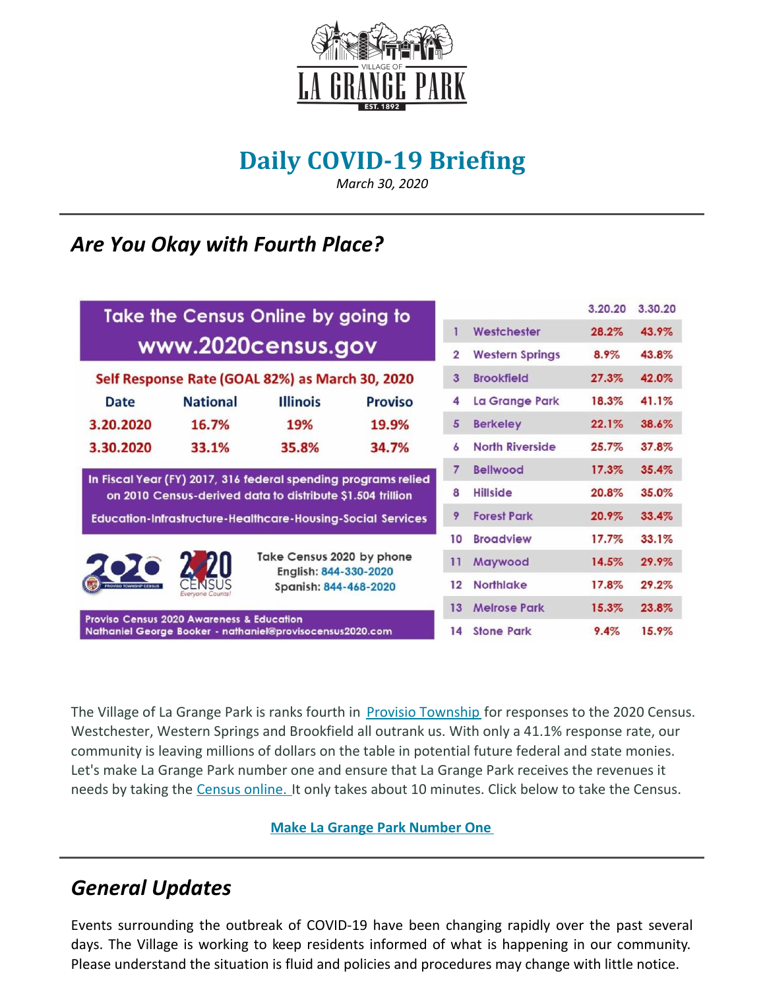

# **Daily COVID-19 Briefing**

*March 30, 2020*

## *Are You Okay with Fourth Place?*

| Take the Census Online by going to                                                                                           |                 | 3.20.20                                                                     | 3.30.20        |                |                        |       |       |
|------------------------------------------------------------------------------------------------------------------------------|-----------------|-----------------------------------------------------------------------------|----------------|----------------|------------------------|-------|-------|
| www.2020census.gov                                                                                                           |                 |                                                                             |                |                | Westchester            | 28.2% | 43.9% |
|                                                                                                                              |                 |                                                                             |                | $\overline{2}$ | <b>Western Springs</b> | 8.9%  | 43.8% |
| Self Response Rate (GOAL 82%) as March 30, 2020                                                                              |                 |                                                                             |                | 3              | <b>Brookfield</b>      | 27.3% | 42.0% |
| Date                                                                                                                         | <b>National</b> | <b>Illinois</b>                                                             | <b>Proviso</b> | 4              | La Grange Park         | 18.3% | 41.1% |
| 3.20.2020                                                                                                                    | 16.7%           | 19%                                                                         | 19.9%          | 5              | <b>Berkeley</b>        | 22.1% | 38.6% |
| 3.30.2020                                                                                                                    | 33.1%           | 35.8%                                                                       | 34.7%          | 6              | <b>North Riverside</b> | 25.7% | 37.8% |
| In Fiscal Year (FY) 2017, 316 federal spending programs relied<br>on 2010 Census-derived data to distribute \$1.504 trillion |                 |                                                                             |                | $\overline{7}$ | <b>Bellwood</b>        | 17.3% | 35.4% |
|                                                                                                                              |                 |                                                                             |                | 8              | <b>Hillside</b>        | 20.8% | 35.0% |
| <b>Education-Infrastructure-Healthcare-Housing-Social Services</b>                                                           |                 |                                                                             |                | 9              | <b>Forest Park</b>     | 20.9% | 33.4% |
| <b>PROVISO TOWNSHIP CENSUS</b>                                                                                               | Everyone Count  | Take Census 2020 by phone<br>English: 844-330-2020<br>Spanish: 844-468-2020 |                | 10             | <b>Broadview</b>       | 17.7% | 33.1% |
|                                                                                                                              |                 |                                                                             |                | 11             | Maywood                | 14.5% | 29.9% |
|                                                                                                                              |                 |                                                                             |                | 12             | <b>Northlake</b>       | 17.8% | 29.2% |
|                                                                                                                              |                 |                                                                             |                | 13             | <b>Melrose Park</b>    | 15.3% | 23.8% |
| <b>Proviso Census 2020 Awareness &amp; Education</b><br>Nathaniel George Booker - nathaniel@provisocensus2020.com            |                 |                                                                             |                | 14             | <b>Stone Park</b>      | 9.4%  | 15.9% |

The Village of La Grange Park is ranks fourth in **Provisio [Township](https://www.provisocensus2020.com/)** for responses to the 2020 Census. Westchester, Western Springs and Brookfield all outrank us. With only a 41.1% response rate, our community is leaving millions of dollars on the table in potential future federal and state monies. Let's make La Grange Park number one and ensure that La Grange Park receives the revenues it needs by taking the [Census](https://2020census.gov/en.html) online. It only takes about 10 minutes. Click below to take the Census.

#### **Make La Grange Park [Number](https://2020census.gov/en.html) One**

### *General Updates*

Events surrounding the outbreak of COVID-19 have been changing rapidly over the past several days. The Village is working to keep residents informed of what is happening in our community. Please understand the situation is fluid and policies and procedures may change with little notice.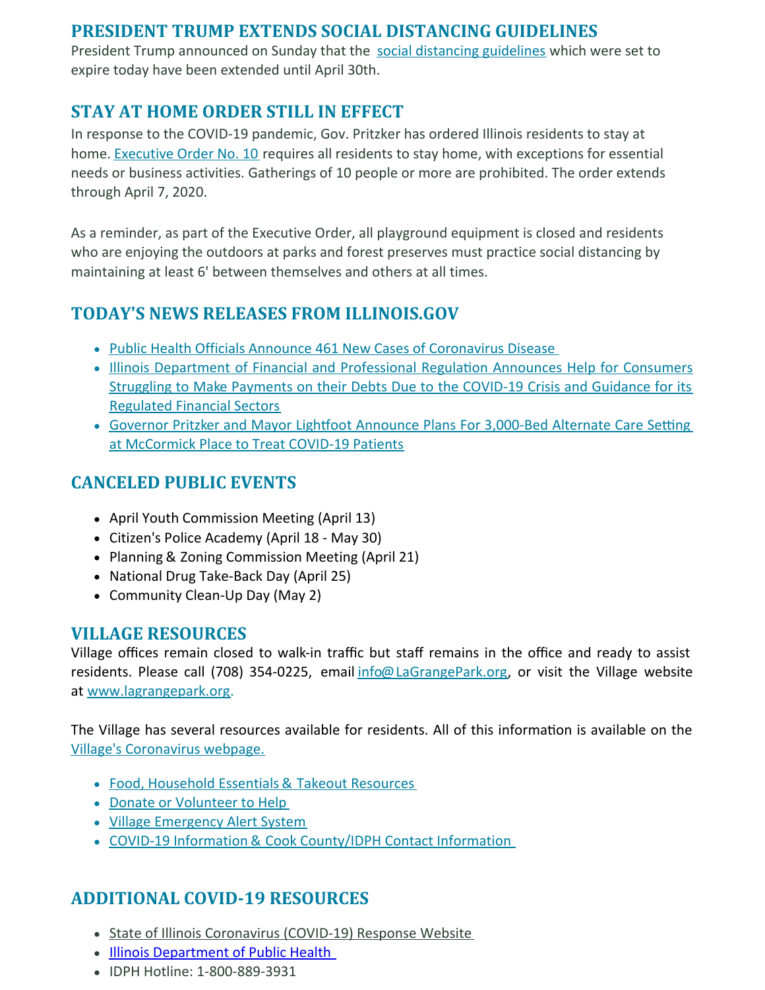#### **PRESIDENT TRUMP EXTENDS SOCIAL DISTANCING GUIDELINES**

President Trump announced on Sunday that the social [distancing](https://www.whitehouse.gov/wp-content/uploads/2020/03/03.16.20_coronavirus-guidance_8.5x11_315PM.pdf) guidelines which were set to expire today have been extended until April 30th.

#### **STAY AT HOME ORDER STILL IN EFFECT**

In response to the COVID-19 pandemic, Gov. Pritzker has ordered Illinois residents to stay at home. [Executive](https://www2.illinois.gov/Pages/Executive-Orders/ExecutiveOrder2020-10.aspx) Order No. 10 requires all residents to stay home, with exceptions for essential needs or business activities. Gatherings of 10 people or more are prohibited. The order extends through April 7, 2020.

As a reminder, as part of the Executive Order, all playground equipment is closed and residents who are enjoying the outdoors at parks and forest preserves must practice social distancing by maintaining at least 6' between themselves and others at all times.

#### **TODAY'S NEWS RELEASES FROM ILLINOIS.GOV**

- Public Health Officials Announce 461 New Cases of [Coronavirus](https://www2.illinois.gov/Pages/news-item.aspx?ReleaseID=21323) Disease
- Illinois Department of Financial and [Professional](http:) Regulation Announces Help for Consumers Struggling to Make Payments on their Debts Due to the COVID-19 Crisis and Guidance for its Regulated Financial Sectors
- Governor Pritzker and Mayor Lightfoot Announce Plans For [3,000-Bed](https://www2.illinois.gov/Pages/news-item.aspx?ReleaseID=21324) Alternate Care Setting at McCormick Place to Treat COVID-19 Patients

#### **CANCELED PUBLIC EVENTS**

- April Youth Commission Meeting (April 13)
- Citizen's Police Academy (April 18 May 30)
- Planning & Zoning Commission Meeting (April 21)
- National Drug Take-Back Day (April 25)
- Community Clean-Up Day (May 2)

#### **VILLAGE RESOURCES**

Village offices remain closed to walk-in traffic but staff remains in the office and ready to assist residents. Please call (708) 354-0225, email **[info@LaGrangePark.org](mailto:info@LaGrangePark.org)**, or visit the Village website at [www.lagrangepark.org](http://www.lagrangepark.org.).

The Village has several resources available for residents. All of this information is available on the Village's [Coronavirus](http://www.lagrangepark.org/505/Coronavirus-COVID-19) webpage.

- Food, [Household](http://www.lagrangepark.org/CivicAlerts.aspx?AID=194) Essentials & Takeout Resources
- Donate or [Volunteer](http://www.lagrangepark.org/CivicAlerts.aspx?AID=194) to Help
- Village [Emergency](http://www.lagrangepark.org/202/Emergency-Notifications) Alert System
- COVID-19 Information & Cook [County/IDPH](http://www.lagrangepark.org/505/Coronavirus-COVID-19#liveEditTab_propertiesTab) Contact Information

### **ADDITIONAL COVID-19 RESOURCES**

- State of Illinois [Coronavirus](https://www2.illinois.gov/sites/coronavirus/Pages/default.aspx) (COVID-19) Response Website
- Illinois [Department](http://www.dph.illinois.gov/) of Public Health
- IDPH Hotline: 1-800-889-3931